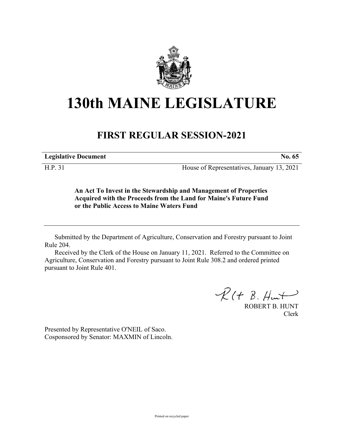

## **130th MAINE LEGISLATURE**

## **FIRST REGULAR SESSION-2021**

**Legislative Document No. 65**

H.P. 31 House of Representatives, January 13, 2021

**An Act To Invest in the Stewardship and Management of Properties Acquired with the Proceeds from the Land for Maine's Future Fund or the Public Access to Maine Waters Fund**

Submitted by the Department of Agriculture, Conservation and Forestry pursuant to Joint Rule 204.

Received by the Clerk of the House on January 11, 2021. Referred to the Committee on Agriculture, Conservation and Forestry pursuant to Joint Rule 308.2 and ordered printed pursuant to Joint Rule 401.

 $R(H B. H<sub>un</sub>)$ 

ROBERT B. HUNT Clerk

Presented by Representative O'NEIL of Saco. Cosponsored by Senator: MAXMIN of Lincoln.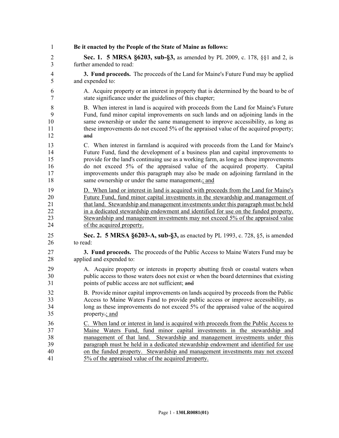| 1                                | Be it enacted by the People of the State of Maine as follows:                                                                                                                                                                                                                                                                                                                                                                                                                          |
|----------------------------------|----------------------------------------------------------------------------------------------------------------------------------------------------------------------------------------------------------------------------------------------------------------------------------------------------------------------------------------------------------------------------------------------------------------------------------------------------------------------------------------|
| $\overline{2}$                   | <b>Sec. 1. 5 MRSA §6203, sub-§3, as amended by PL 2009, c. 178, §§1 and 2, is</b>                                                                                                                                                                                                                                                                                                                                                                                                      |
| $\overline{3}$                   | further amended to read:                                                                                                                                                                                                                                                                                                                                                                                                                                                               |
| 4                                | 3. Fund proceeds. The proceeds of the Land for Maine's Future Fund may be applied                                                                                                                                                                                                                                                                                                                                                                                                      |
| 5                                | and expended to:                                                                                                                                                                                                                                                                                                                                                                                                                                                                       |
| 6                                | A. Acquire property or an interest in property that is determined by the board to be of                                                                                                                                                                                                                                                                                                                                                                                                |
| 7                                | state significance under the guidelines of this chapter;                                                                                                                                                                                                                                                                                                                                                                                                                               |
| 8                                | B. When interest in land is acquired with proceeds from the Land for Maine's Future                                                                                                                                                                                                                                                                                                                                                                                                    |
| 9                                | Fund, fund minor capital improvements on such lands and on adjoining lands in the                                                                                                                                                                                                                                                                                                                                                                                                      |
| 10                               | same ownership or under the same management to improve accessibility, as long as                                                                                                                                                                                                                                                                                                                                                                                                       |
| 11                               | these improvements do not exceed 5% of the appraised value of the acquired property;                                                                                                                                                                                                                                                                                                                                                                                                   |
| 12                               | and                                                                                                                                                                                                                                                                                                                                                                                                                                                                                    |
| 13<br>14<br>15<br>16<br>17<br>18 | C. When interest in farmland is acquired with proceeds from the Land for Maine's<br>Future Fund, fund the development of a business plan and capital improvements to<br>provide for the land's continuing use as a working farm, as long as these improvements<br>do not exceed 5% of the appraised value of the acquired property.<br>Capital<br>improvements under this paragraph may also be made on adjoining farmland in the<br>same ownership or under the same management-; and |
| 19                               | D. When land or interest in land is acquired with proceeds from the Land for Maine's                                                                                                                                                                                                                                                                                                                                                                                                   |
| 20                               | Future Fund, fund minor capital investments in the stewardship and management of                                                                                                                                                                                                                                                                                                                                                                                                       |
| 21                               | that land. Stewardship and management investments under this paragraph must be held                                                                                                                                                                                                                                                                                                                                                                                                    |
| 22                               | in a dedicated stewardship endowment and identified for use on the funded property.                                                                                                                                                                                                                                                                                                                                                                                                    |
| 23                               | Stewardship and management investments may not exceed 5% of the appraised value                                                                                                                                                                                                                                                                                                                                                                                                        |
| 24                               | of the acquired property.                                                                                                                                                                                                                                                                                                                                                                                                                                                              |
| 25                               | Sec. 2. 5 MRSA §6203-A, sub-§3, as enacted by PL 1993, c. 728, §5, is amended                                                                                                                                                                                                                                                                                                                                                                                                          |
| 26                               | to read:                                                                                                                                                                                                                                                                                                                                                                                                                                                                               |
| 27                               | 3. Fund proceeds. The proceeds of the Public Access to Maine Waters Fund may be                                                                                                                                                                                                                                                                                                                                                                                                        |
| 28                               | applied and expended to:                                                                                                                                                                                                                                                                                                                                                                                                                                                               |
| 29                               | A. Acquire property or interests in property abutting fresh or coastal waters when                                                                                                                                                                                                                                                                                                                                                                                                     |
| 30                               | public access to those waters does not exist or when the board determines that existing                                                                                                                                                                                                                                                                                                                                                                                                |
| 31                               | points of public access are not sufficient; and                                                                                                                                                                                                                                                                                                                                                                                                                                        |
| 32                               | B. Provide minor capital improvements on lands acquired by proceeds from the Public                                                                                                                                                                                                                                                                                                                                                                                                    |
| 33                               | Access to Maine Waters Fund to provide public access or improve accessibility, as                                                                                                                                                                                                                                                                                                                                                                                                      |
| 34                               | long as these improvements do not exceed 5% of the appraised value of the acquired                                                                                                                                                                                                                                                                                                                                                                                                     |
| 35                               | property-; and                                                                                                                                                                                                                                                                                                                                                                                                                                                                         |
| 36                               | C. When land or interest in land is acquired with proceeds from the Public Access to                                                                                                                                                                                                                                                                                                                                                                                                   |
| 37                               | Maine Waters Fund, fund minor capital investments in the stewardship and                                                                                                                                                                                                                                                                                                                                                                                                               |
| 38                               | management of that land. Stewardship and management investments under this                                                                                                                                                                                                                                                                                                                                                                                                             |
| 39                               | paragraph must be held in a dedicated stewardship endowment and identified for use                                                                                                                                                                                                                                                                                                                                                                                                     |
| 40                               | on the funded property. Stewardship and management investments may not exceed                                                                                                                                                                                                                                                                                                                                                                                                          |
| 41                               | 5% of the appraised value of the acquired property.                                                                                                                                                                                                                                                                                                                                                                                                                                    |